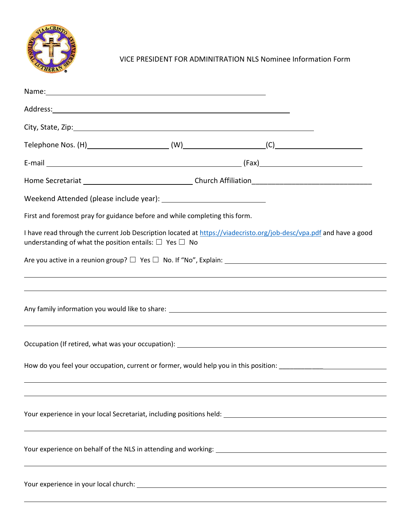

VICE PRESIDENT FOR ADMINITRATION NLS Nominee Information Form

| Name: Name: Name: Name: Name: Name: Name: Name: Name: Name: Name: Name: Name: Name: Name: Name: Name: Name: Name: Name: Name: Name: Name: Name: Name: Name: Name: Name: Name: Name: Name: Name: Name: Name: Name: Name: Name:  |
|--------------------------------------------------------------------------------------------------------------------------------------------------------------------------------------------------------------------------------|
|                                                                                                                                                                                                                                |
|                                                                                                                                                                                                                                |
|                                                                                                                                                                                                                                |
|                                                                                                                                                                                                                                |
|                                                                                                                                                                                                                                |
|                                                                                                                                                                                                                                |
| First and foremost pray for guidance before and while completing this form.                                                                                                                                                    |
| I have read through the current Job Description located at https://viadecristo.org/job-desc/vpa.pdf and have a good<br>understanding of what the position entails: $\Box$ Yes $\Box$ No                                        |
|                                                                                                                                                                                                                                |
|                                                                                                                                                                                                                                |
|                                                                                                                                                                                                                                |
|                                                                                                                                                                                                                                |
| How do you feel your occupation, current or former, would help you in this position: ________________________                                                                                                                  |
|                                                                                                                                                                                                                                |
|                                                                                                                                                                                                                                |
| Your experience in your local Secretariat, including positions held: \\ \\esp \\ \\esp \\\esp \\esp \\esp \\esp \\esp \\esp \\esp \\esp \\esp \\esp \\esp \\esp \\esp \\esp \\esp \\esp \\esp \\esp \\esp \\esp \\esp \\esp \\ |
|                                                                                                                                                                                                                                |
|                                                                                                                                                                                                                                |
|                                                                                                                                                                                                                                |
|                                                                                                                                                                                                                                |